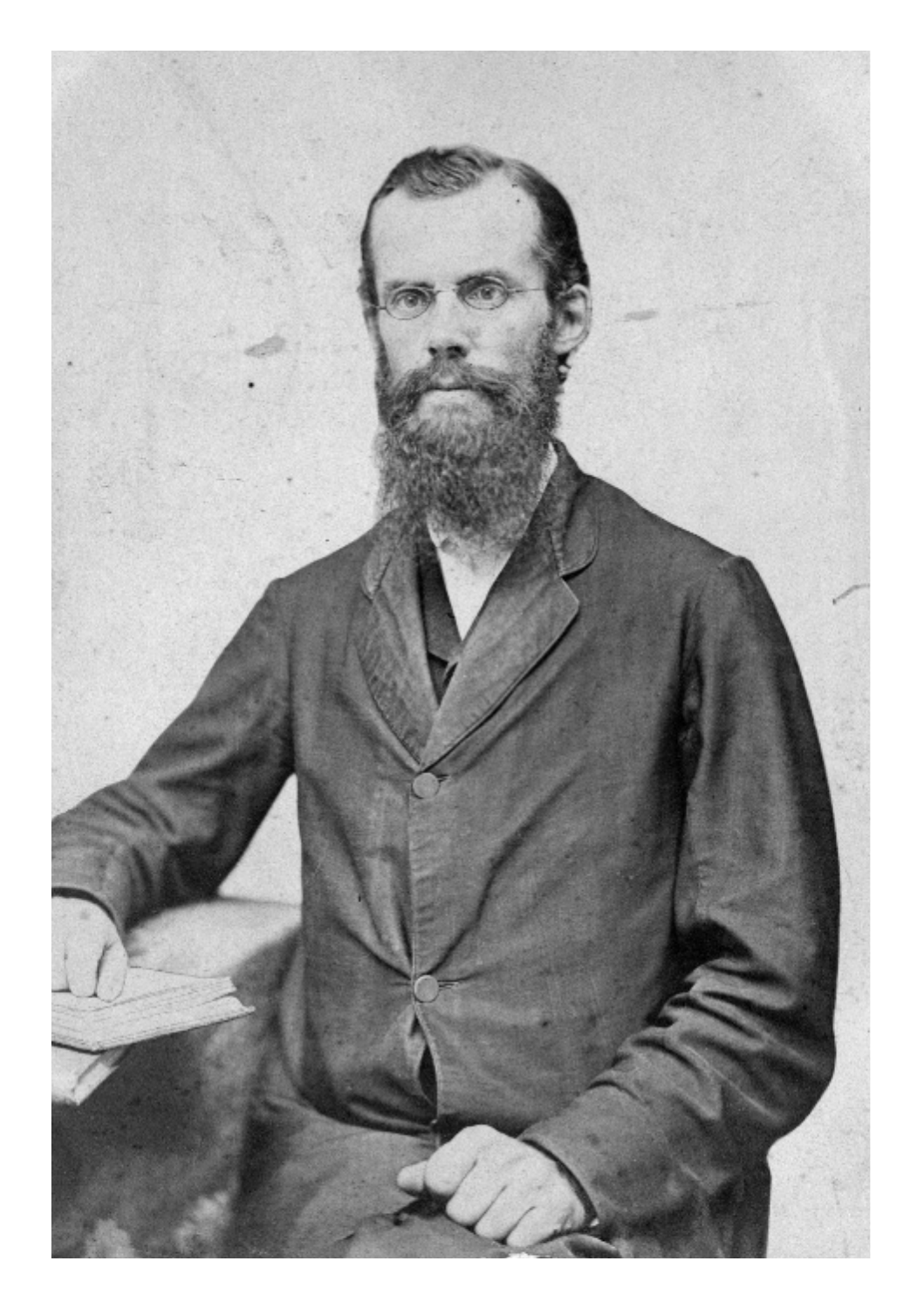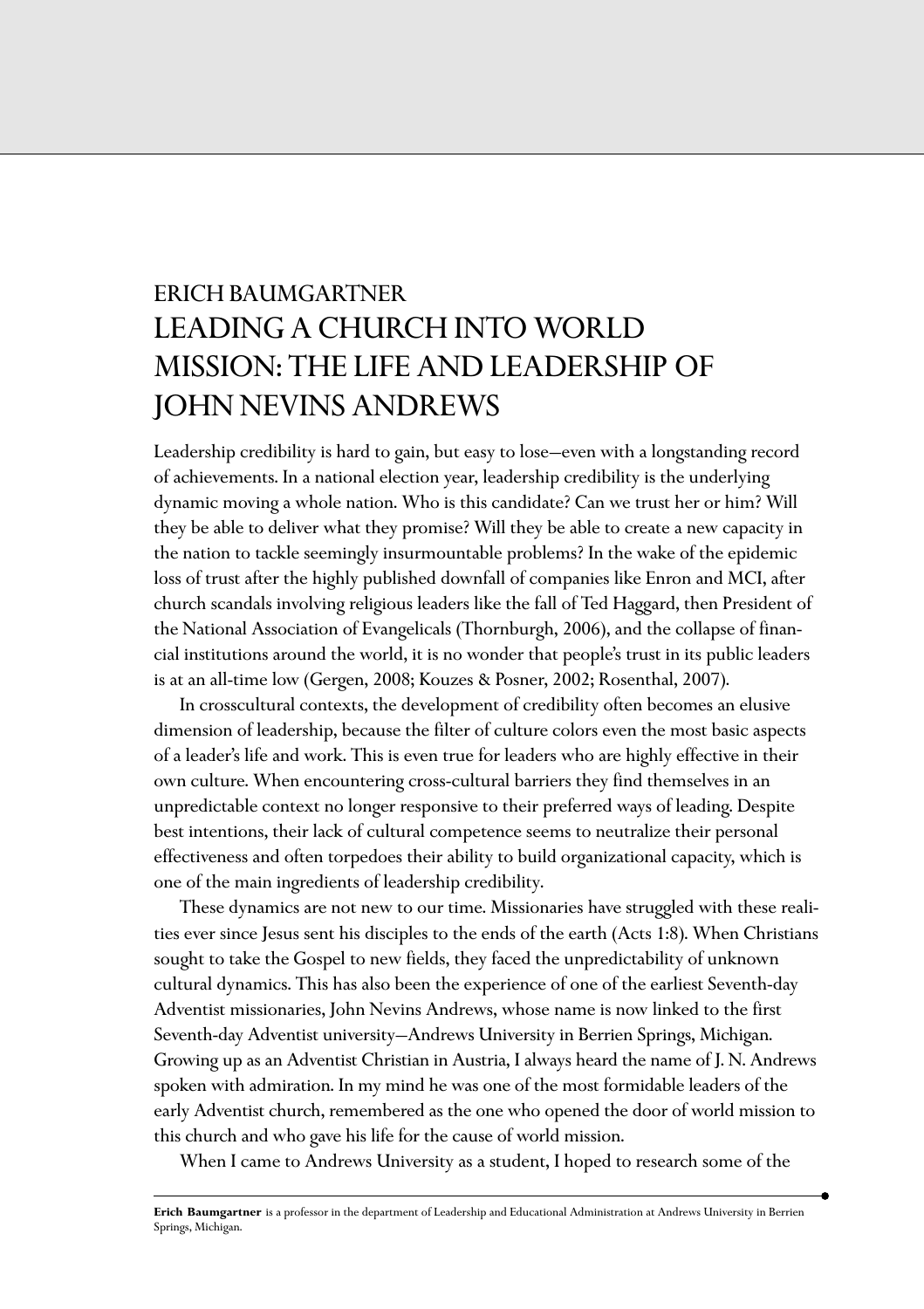# ERICH BAUMGARTNER LEADING A CHURCH INTO WORLD MISSION: THE LIFE AND LEADERSHIP OF JOHN NEVINS ANDREWS

Leadership credibility is hard to gain, but easy to lose—even with a longstanding record of achievements. In a national election year, leadership credibility is the underlying dynamic moving a whole nation. Who is this candidate? Can we trust her or him? Will they be able to deliver what they promise? Will they be able to create a new capacity in the nation to tackle seemingly insurmountable problems? In the wake of the epidemic loss of trust after the highly published downfall of companies like Enron and MCI, after church scandals involving religious leaders like the fall of Ted Haggard, then President of the National Association of Evangelicals (Thornburgh, 2006), and the collapse of financial institutions around the world, it is no wonder that people's trust in its public leaders is at an all-time low (Gergen, 2008; Kouzes & Posner, 2002; Rosenthal, 2007).

In crosscultural contexts, the development of credibility often becomes an elusive dimension of leadership, because the filter of culture colors even the most basic aspects of a leader's life and work. This is even true for leaders who are highly effective in their own culture. When encountering cross-cultural barriers they find themselves in an unpredictable context no longer responsive to their preferred ways of leading. Despite best intentions, their lack of cultural competence seems to neutralize their personal effectiveness and often torpedoes their ability to build organizational capacity, which is one of the main ingredients of leadership credibility.

These dynamics are not new to our time. Missionaries have struggled with these realities ever since Jesus sent his disciples to the ends of the earth (Acts 1:8). When Christians sought to take the Gospel to new fields, they faced the unpredictability of unknown cultural dynamics. This has also been the experience of one of the earliest Seventh-day Adventist missionaries, John Nevins Andrews, whose name is now linked to the first Seventh-day Adventist university—Andrews University in Berrien Springs, Michigan. Growing up as an Adventist Christian in Austria, I always heard the name of J. N. Andrews spoken with admiration. In my mind he was one of the most formidable leaders of the early Adventist church, remembered as the one who opened the door of world mission to this church and who gave his life for the cause of world mission.

When I came to Andrews University as a student, I hoped to research some of the

**Erich Baumgartner** is a professor in the department of Leadership and Educational Administration at Andrews University in Berrien Springs, Michigan.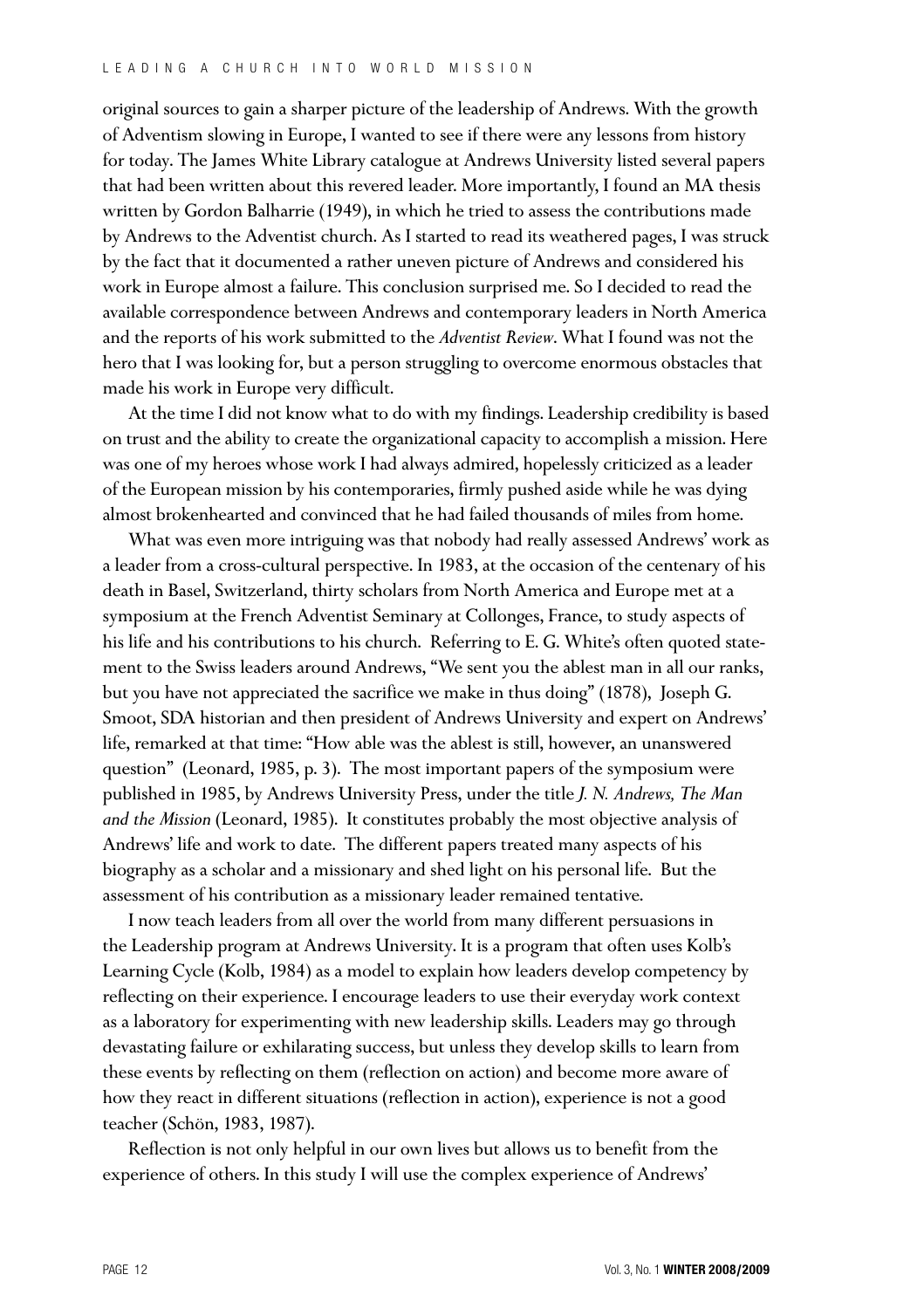original sources to gain a sharper picture of the leadership of Andrews. With the growth of Adventism slowing in Europe, I wanted to see if there were any lessons from history for today. The James White Library catalogue at Andrews University listed several papers that had been written about this revered leader. More importantly, I found an MA thesis written by Gordon Balharrie (1949), in which he tried to assess the contributions made by Andrews to the Adventist church. As I started to read its weathered pages, I was struck by the fact that it documented a rather uneven picture of Andrews and considered his work in Europe almost a failure. This conclusion surprised me. So I decided to read the available correspondence between Andrews and contemporary leaders in North America and the reports of his work submitted to the *Adventist Review*. What I found was not the hero that I was looking for, but a person struggling to overcome enormous obstacles that made his work in Europe very difficult.

At the time I did not know what to do with my findings. Leadership credibility is based on trust and the ability to create the organizational capacity to accomplish a mission. Here was one of my heroes whose work I had always admired, hopelessly criticized as a leader of the European mission by his contemporaries, firmly pushed aside while he was dying almost brokenhearted and convinced that he had failed thousands of miles from home.

What was even more intriguing was that nobody had really assessed Andrews' work as a leader from a cross-cultural perspective. In 1983, at the occasion of the centenary of his death in Basel, Switzerland, thirty scholars from North America and Europe met at a symposium at the French Adventist Seminary at Collonges, France, to study aspects of his life and his contributions to his church. Referring to E. G. White's often quoted statement to the Swiss leaders around Andrews, "We sent you the ablest man in all our ranks, but you have not appreciated the sacrifice we make in thus doing" (1878), Joseph G. Smoot, SDA historian and then president of Andrews University and expert on Andrews' life, remarked at that time: "How able was the ablest is still, however, an unanswered question" (Leonard, 1985, p. 3). The most important papers of the symposium were published in 1985, by Andrews University Press, under the title *J. N. Andrews, The Man and the Mission* (Leonard, 1985). It constitutes probably the most objective analysis of Andrews' life and work to date. The different papers treated many aspects of his biography as a scholar and a missionary and shed light on his personal life. But the assessment of his contribution as a missionary leader remained tentative.

I now teach leaders from all over the world from many different persuasions in the Leadership program at Andrews University. It is a program that often uses Kolb's Learning Cycle (Kolb, 1984) as a model to explain how leaders develop competency by reflecting on their experience. I encourage leaders to use their everyday work context as a laboratory for experimenting with new leadership skills. Leaders may go through devastating failure or exhilarating success, but unless they develop skills to learn from these events by reflecting on them (reflection on action) and become more aware of how they react in different situations (reflection in action), experience is not a good teacher (Schön, 1983, 1987).

Reflection is not only helpful in our own lives but allows us to benefit from the experience of others. In this study I will use the complex experience of Andrews'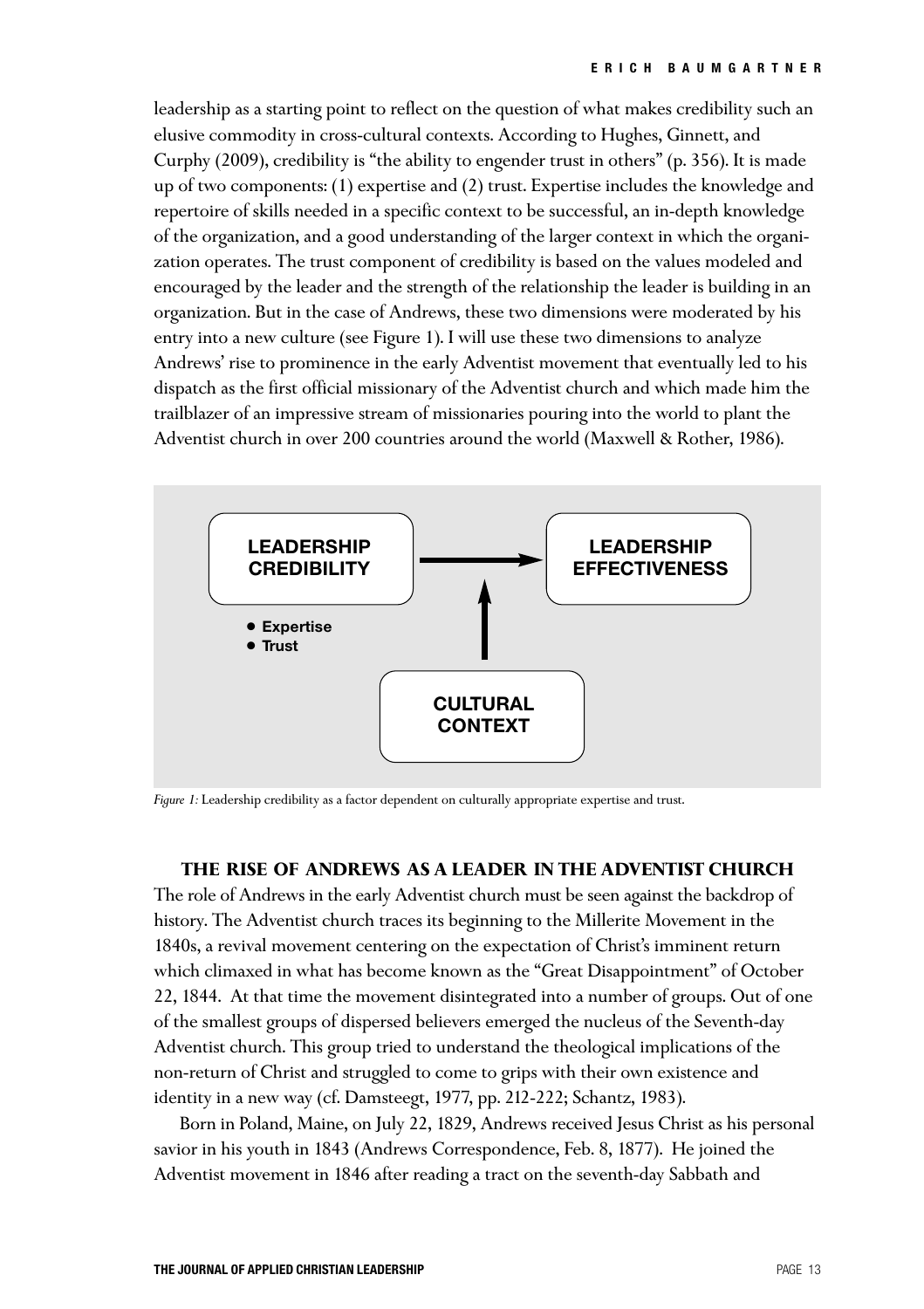leadership as a starting point to reflect on the question of what makes credibility such an elusive commodity in cross-cultural contexts. According to Hughes, Ginnett, and Curphy (2009), credibility is "the ability to engender trust in others" (p. 356). It is made up of two components: (1) expertise and (2) trust. Expertise includes the knowledge and repertoire of skills needed in a specific context to be successful, an in-depth knowledge of the organization, and a good understanding of the larger context in which the organization operates. The trust component of credibility is based on the values modeled and encouraged by the leader and the strength of the relationship the leader is building in an organization. But in the case of Andrews, these two dimensions were moderated by his entry into a new culture (see Figure 1). I will use these two dimensions to analyze Andrews' rise to prominence in the early Adventist movement that eventually led to his dispatch as the first official missionary of the Adventist church and which made him the trailblazer of an impressive stream of missionaries pouring into the world to plant the Adventist church in over 200 countries around the world (Maxwell & Rother, 1986).



*Figure 1:* Leadership credibility as a factor dependent on culturally appropriate expertise and trust.

### **THE RISE OF ANDREWS AS A LEADER IN THE ADVENTIST CHURCH**

The role of Andrews in the early Adventist church must be seen against the backdrop of history. The Adventist church traces its beginning to the Millerite Movement in the 1840s, a revival movement centering on the expectation of Christ's imminent return which climaxed in what has become known as the "Great Disappointment" of October 22, 1844. At that time the movement disintegrated into a number of groups. Out of one of the smallest groups of dispersed believers emerged the nucleus of the Seventh-day Adventist church. This group tried to understand the theological implications of the non-return of Christ and struggled to come to grips with their own existence and identity in a new way (cf. Damsteegt, 1977, pp. 212-222; Schantz, 1983).

Born in Poland, Maine, on July 22, 1829, Andrews received Jesus Christ as his personal savior in his youth in 1843 (Andrews Correspondence, Feb. 8, 1877). He joined the Adventist movement in 1846 after reading a tract on the seventh-day Sabbath and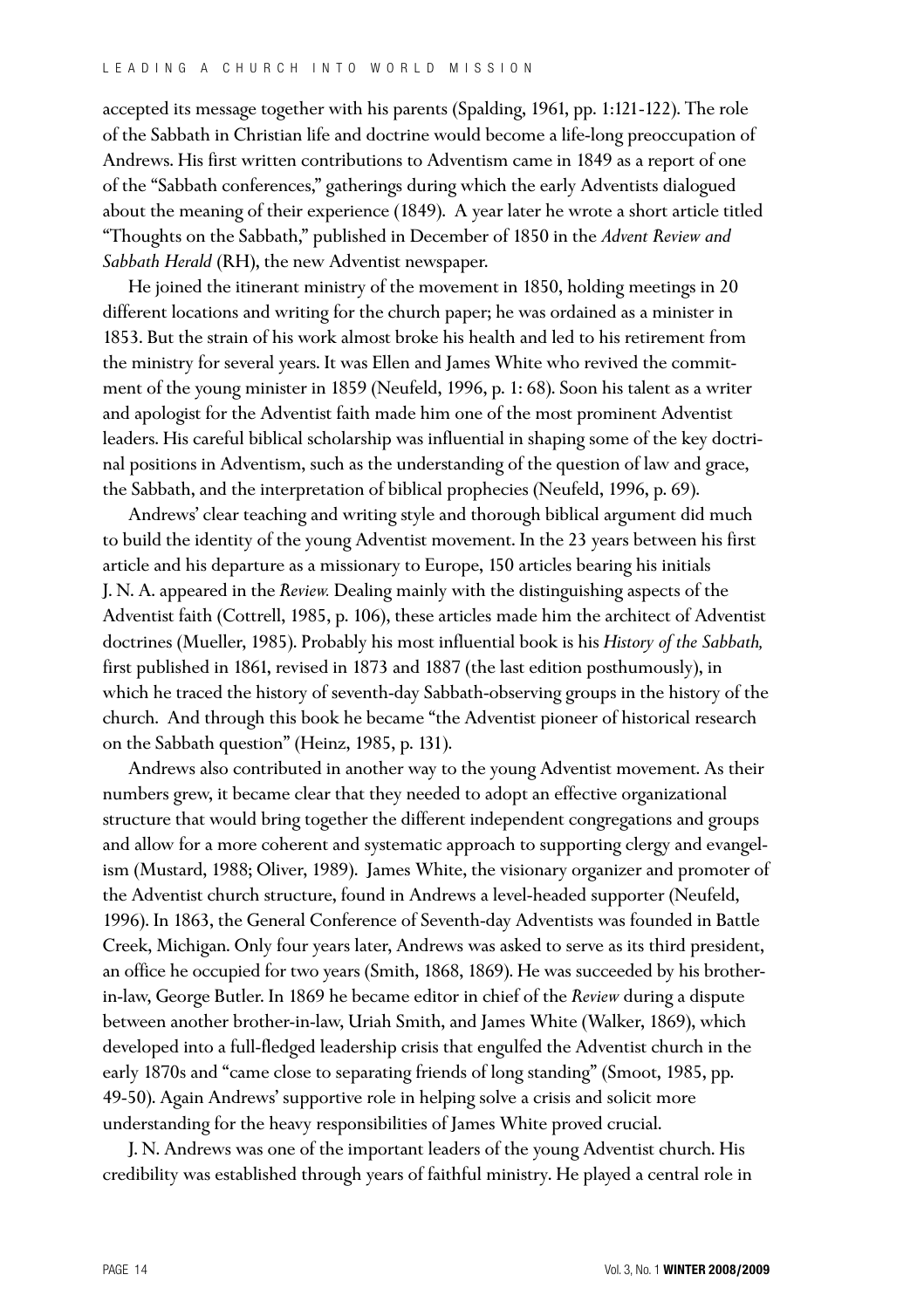accepted its message together with his parents (Spalding, 1961, pp. 1:121-122). The role of the Sabbath in Christian life and doctrine would become a life-long preoccupation of Andrews. His first written contributions to Adventism came in 1849 as a report of one of the "Sabbath conferences," gatherings during which the early Adventists dialogued about the meaning of their experience (1849). A year later he wrote a short article titled "Thoughts on the Sabbath," published in December of 1850 in the *Advent Review and Sabbath Herald* (RH), the new Adventist newspaper.

He joined the itinerant ministry of the movement in 1850, holding meetings in 20 different locations and writing for the church paper; he was ordained as a minister in 1853. But the strain of his work almost broke his health and led to his retirement from the ministry for several years. It was Ellen and James White who revived the commitment of the young minister in 1859 (Neufeld, 1996, p. 1: 68). Soon his talent as a writer and apologist for the Adventist faith made him one of the most prominent Adventist leaders. His careful biblical scholarship was influential in shaping some of the key doctrinal positions in Adventism, such as the understanding of the question of law and grace, the Sabbath, and the interpretation of biblical prophecies (Neufeld, 1996, p. 69).

Andrews' clear teaching and writing style and thorough biblical argument did much to build the identity of the young Adventist movement. In the 23 years between his first article and his departure as a missionary to Europe, 150 articles bearing his initials J. N. A. appeared in the *Review.* Dealing mainly with the distinguishing aspects of the Adventist faith (Cottrell, 1985, p. 106), these articles made him the architect of Adventist doctrines (Mueller, 1985). Probably his most influential book is his *History of the Sabbath,* first published in 1861, revised in 1873 and 1887 (the last edition posthumously), in which he traced the history of seventh-day Sabbath-observing groups in the history of the church. And through this book he became "the Adventist pioneer of historical research on the Sabbath question" (Heinz, 1985, p. 131).

Andrews also contributed in another way to the young Adventist movement. As their numbers grew, it became clear that they needed to adopt an effective organizational structure that would bring together the different independent congregations and groups and allow for a more coherent and systematic approach to supporting clergy and evangelism (Mustard, 1988; Oliver, 1989). James White, the visionary organizer and promoter of the Adventist church structure, found in Andrews a level-headed supporter (Neufeld, 1996). In 1863, the General Conference of Seventh-day Adventists was founded in Battle Creek, Michigan. Only four years later, Andrews was asked to serve as its third president, an office he occupied for two years (Smith, 1868, 1869). He was succeeded by his brotherin-law, George Butler. In 1869 he became editor in chief of the *Review* during a dispute between another brother-in-law, Uriah Smith, and James White (Walker, 1869), which developed into a full-fledged leadership crisis that engulfed the Adventist church in the early 1870s and "came close to separating friends of long standing" (Smoot, 1985, pp. 49-50). Again Andrews' supportive role in helping solve a crisis and solicit more understanding for the heavy responsibilities of James White proved crucial.

J. N. Andrews was one of the important leaders of the young Adventist church. His credibility was established through years of faithful ministry. He played a central role in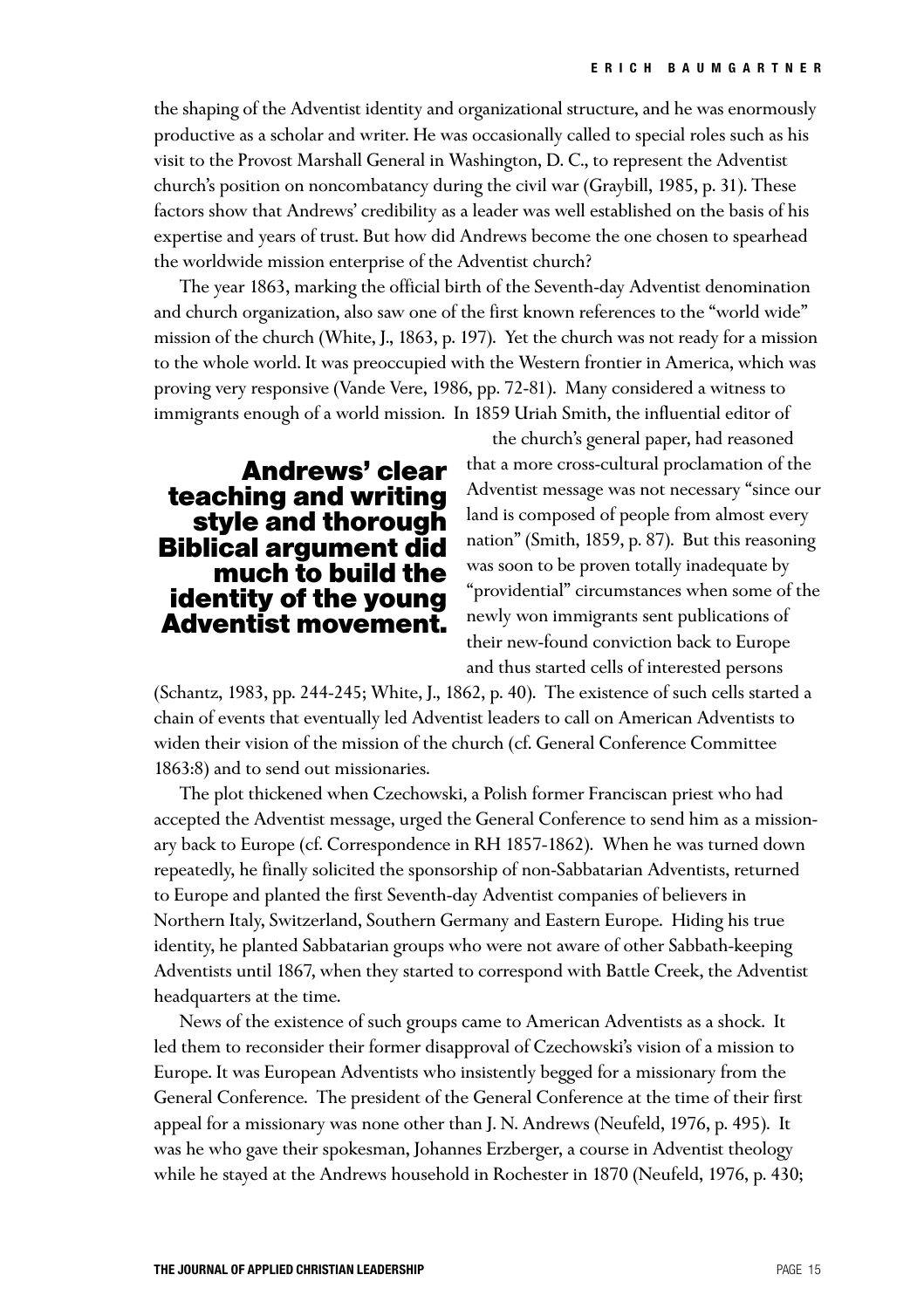the shaping of the Adventist identity and organizational structure, and he was enormously productive as a scholar and writer. He was occasionally called to special roles such as his visit to the Provost Marshall General in Washington, D. C., to represent the Adventist church's position on noncombatancy during the civil war (Graybill, 1985, p. 31). These factors show that Andrews' credibility as a leader was well established on the basis of his expertise and years of trust. But how did Andrews become the one chosen to spearhead the worldwide mission enterprise of the Adventist church?

The year 1863, marking the official birth of the Seventh-day Adventist denomination and church organization, also saw one of the first known references to the "world wide" mission of the church (White, J., 1863, p. 197). Yet the church was not ready for a mission to the whole world. It was preoccupied with the Western frontier in America, which was proving very responsive (Vande Vere, 1986, pp. 72-81). Many considered a witness to immigrants enough of a world mission. In 1859 Uriah Smith, the influential editor of

### **Andrews' clear teaching and writing style and thorough Biblical argument did much to build the identity of the young Adventist movement.**

the church's general paper, had reasoned that a more cross-cultural proclamation of the Adventist message was not necessary "since our land is composed of people from almost every nation" (Smith, 1859, p. 87). But this reasoning was soon to be proven totally inadequate by "providential" circumstances when some of the newly won immigrants sent publications of their new-found conviction back to Europe and thus started cells of interested persons

(Schantz, 1983, pp. 244-245; White, J., 1862, p. 40). The existence of such cells started a chain of events that eventually led Adventist leaders to call on American Adventists to widen their vision of the mission of the church (cf. General Conference Committee 1863:8) and to send out missionaries.

The plot thickened when Czechowski, a Polish former Franciscan priest who had accepted the Adventist message, urged the General Conference to send him as a missionary back to Europe (cf. Correspondence in RH 1857-1862). When he was turned down repeatedly, he finally solicited the sponsorship of non-Sabbatarian Adventists, returned to Europe and planted the first Seventh-day Adventist companies of believers in Northern Italy, Switzerland, Southern Germany and Eastern Europe. Hiding his true identity, he planted Sabbatarian groups who were not aware of other Sabbath-keeping Adventists until 1867, when they started to correspond with Battle Creek, the Adventist headquarters at the time.

News of the existence of such groups came to American Adventists as a shock. It led them to reconsider their former disapproval of Czechowski's vision of a mission to Europe. It was European Adventists who insistently begged for a missionary from the General Conference. The president of the General Conference at the time of their first appeal for a missionary was none other than J. N. Andrews (Neufeld, 1976, p. 495). It was he who gave their spokesman, Johannes Erzberger, a course in Adventist theology while he stayed at the Andrews household in Rochester in 1870 (Neufeld, 1976, p. 430;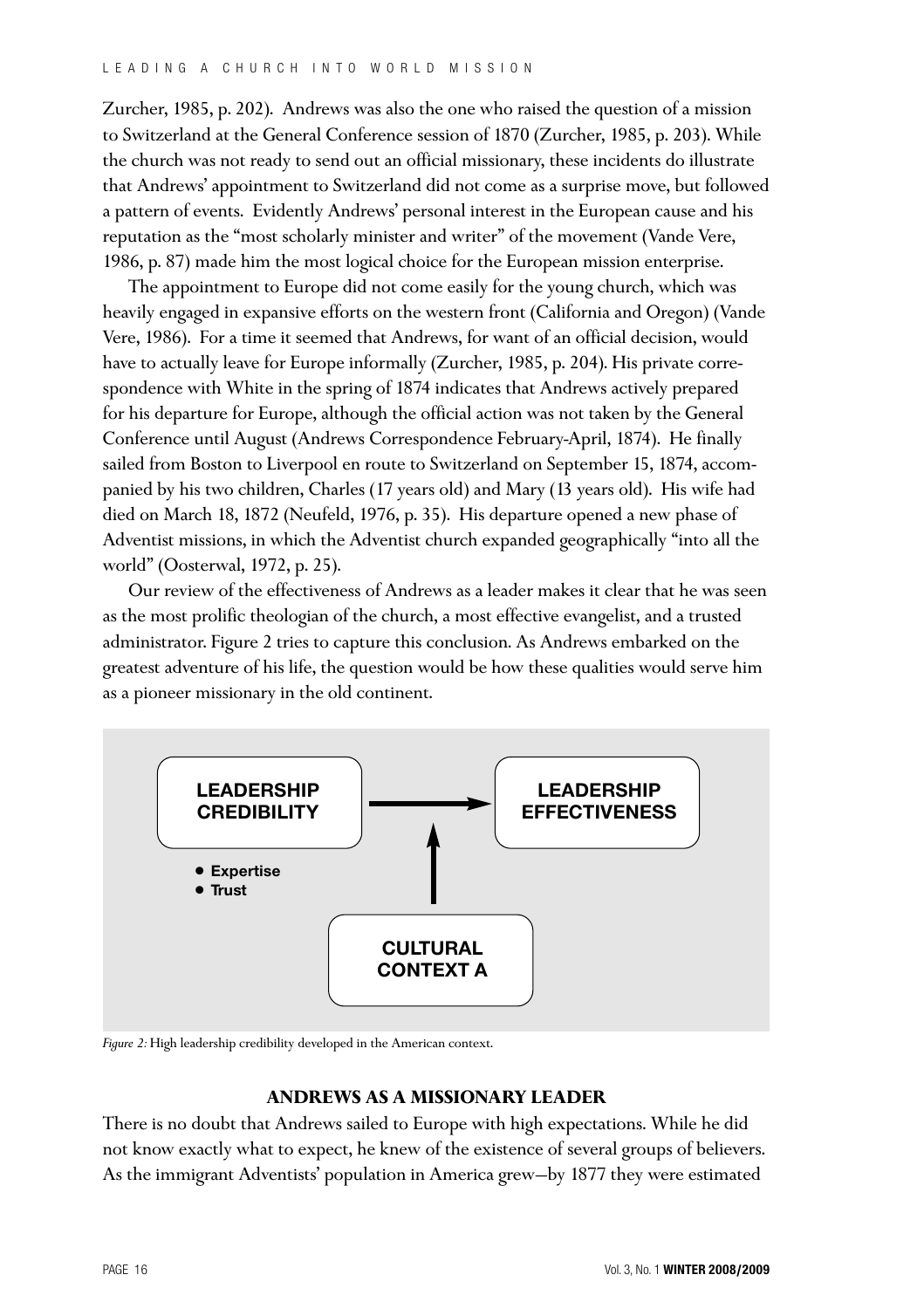Zurcher, 1985, p. 202). Andrews was also the one who raised the question of a mission to Switzerland at the General Conference session of 1870 (Zurcher, 1985, p. 203). While the church was not ready to send out an official missionary, these incidents do illustrate that Andrews' appointment to Switzerland did not come as a surprise move, but followed a pattern of events. Evidently Andrews' personal interest in the European cause and his reputation as the "most scholarly minister and writer" of the movement (Vande Vere, 1986, p. 87) made him the most logical choice for the European mission enterprise.

The appointment to Europe did not come easily for the young church, which was heavily engaged in expansive efforts on the western front (California and Oregon) (Vande Vere, 1986). For a time it seemed that Andrews, for want of an official decision, would have to actually leave for Europe informally (Zurcher, 1985, p. 204). His private correspondence with White in the spring of 1874 indicates that Andrews actively prepared for his departure for Europe, although the official action was not taken by the General Conference until August (Andrews Correspondence February-April, 1874). He finally sailed from Boston to Liverpool en route to Switzerland on September 15, 1874, accompanied by his two children, Charles (17 years old) and Mary (13 years old). His wife had died on March 18, 1872 (Neufeld, 1976, p. 35). His departure opened a new phase of Adventist missions, in which the Adventist church expanded geographically "into all the world" (Oosterwal, 1972, p. 25).

Our review of the effectiveness of Andrews as a leader makes it clear that he was seen as the most prolific theologian of the church, a most effective evangelist, and a trusted administrator. Figure 2 tries to capture this conclusion. As Andrews embarked on the greatest adventure of his life, the question would be how these qualities would serve him as a pioneer missionary in the old continent.



*Figure 2:* High leadership credibility developed in the American context.

### **ANDREWS AS A MISSIONARY LEADER**

There is no doubt that Andrews sailed to Europe with high expectations. While he did not know exactly what to expect, he knew of the existence of several groups of believers. As the immigrant Adventists' population in America grew—by 1877 they were estimated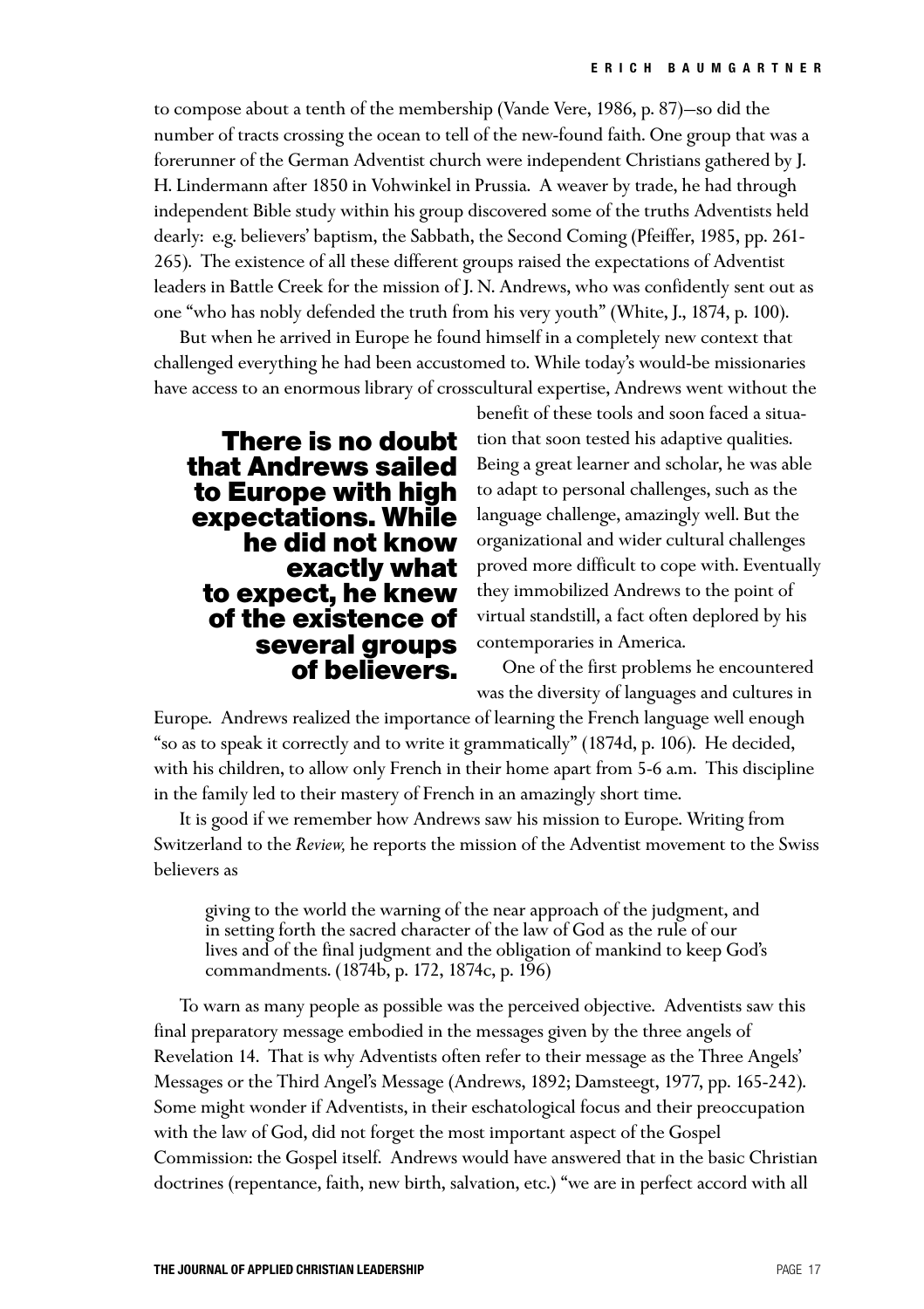to compose about a tenth of the membership (Vande Vere, 1986, p. 87)—so did the number of tracts crossing the ocean to tell of the new-found faith. One group that was a forerunner of the German Adventist church were independent Christians gathered by J. H. Lindermann after 1850 in Vohwinkel in Prussia. A weaver by trade, he had through independent Bible study within his group discovered some of the truths Adventists held dearly: e.g. believers' baptism, the Sabbath, the Second Coming (Pfeiffer, 1985, pp. 261- 265). The existence of all these different groups raised the expectations of Adventist leaders in Battle Creek for the mission of J. N. Andrews, who was confidently sent out as one "who has nobly defended the truth from his very youth" (White, J., 1874, p. 100).

But when he arrived in Europe he found himself in a completely new context that challenged everything he had been accustomed to. While today's would-be missionaries have access to an enormous library of crosscultural expertise, Andrews went without the

**There is no doubt that Andrews sailed to Europe with high expectations. While he did not know exactly what to expect, he knew of the existence of several groups of believers.** benefit of these tools and soon faced a situation that soon tested his adaptive qualities. Being a great learner and scholar, he was able to adapt to personal challenges, such as the language challenge, amazingly well. But the organizational and wider cultural challenges proved more difficult to cope with. Eventually they immobilized Andrews to the point of virtual standstill, a fact often deplored by his contemporaries in America.

One of the first problems he encountered was the diversity of languages and cultures in

Europe. Andrews realized the importance of learning the French language well enough "so as to speak it correctly and to write it grammatically" (1874d, p. 106). He decided, with his children, to allow only French in their home apart from 5-6 a.m. This discipline in the family led to their mastery of French in an amazingly short time.

It is good if we remember how Andrews saw his mission to Europe. Writing from Switzerland to the *Review,* he reports the mission of the Adventist movement to the Swiss believers as

giving to the world the warning of the near approach of the judgment, and in setting forth the sacred character of the law of God as the rule of our lives and of the final judgment and the obligation of mankind to keep God's commandments. (1874b, p. 172, 1874c, p. 196)

To warn as many people as possible was the perceived objective. Adventists saw this final preparatory message embodied in the messages given by the three angels of Revelation 14. That is why Adventists often refer to their message as the Three Angels' Messages or the Third Angel's Message (Andrews, 1892; Damsteegt, 1977, pp. 165-242). Some might wonder if Adventists, in their eschatological focus and their preoccupation with the law of God, did not forget the most important aspect of the Gospel Commission: the Gospel itself. Andrews would have answered that in the basic Christian doctrines (repentance, faith, new birth, salvation, etc.) "we are in perfect accord with all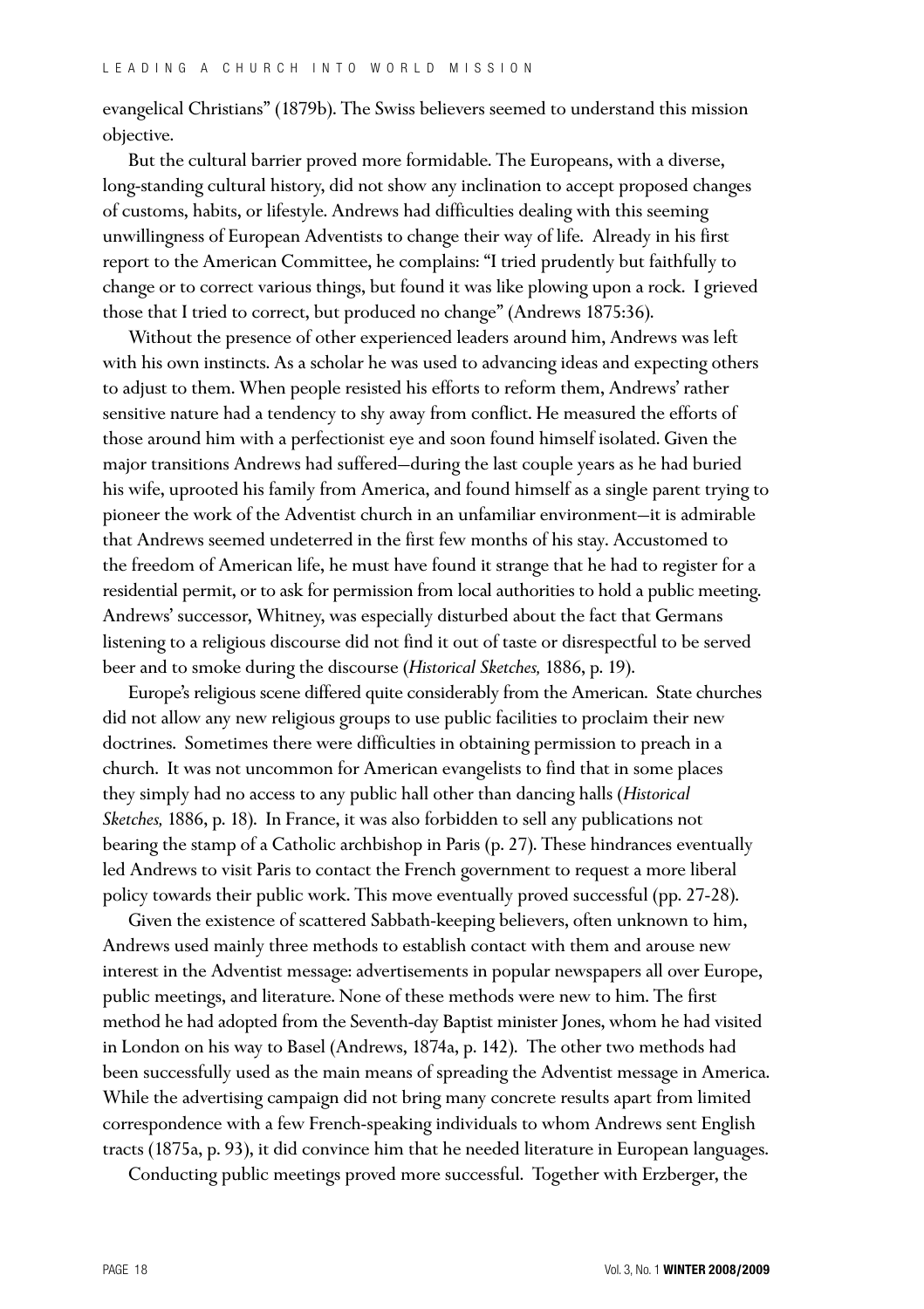evangelical Christians" (1879b). The Swiss believers seemed to understand this mission objective.

But the cultural barrier proved more formidable. The Europeans, with a diverse, long-standing cultural history, did not show any inclination to accept proposed changes of customs, habits, or lifestyle. Andrews had difficulties dealing with this seeming unwillingness of European Adventists to change their way of life. Already in his first report to the American Committee, he complains: "I tried prudently but faithfully to change or to correct various things, but found it was like plowing upon a rock. I grieved those that I tried to correct, but produced no change" (Andrews 1875:36).

Without the presence of other experienced leaders around him, Andrews was left with his own instincts. As a scholar he was used to advancing ideas and expecting others to adjust to them. When people resisted his efforts to reform them, Andrews' rather sensitive nature had a tendency to shy away from conflict. He measured the efforts of those around him with a perfectionist eye and soon found himself isolated. Given the major transitions Andrews had suffered—during the last couple years as he had buried his wife, uprooted his family from America, and found himself as a single parent trying to pioneer the work of the Adventist church in an unfamiliar environment—it is admirable that Andrews seemed undeterred in the first few months of his stay. Accustomed to the freedom of American life, he must have found it strange that he had to register for a residential permit, or to ask for permission from local authorities to hold a public meeting. Andrews' successor, Whitney, was especially disturbed about the fact that Germans listening to a religious discourse did not find it out of taste or disrespectful to be served beer and to smoke during the discourse (*Historical Sketches,* 1886, p. 19).

Europe's religious scene differed quite considerably from the American. State churches did not allow any new religious groups to use public facilities to proclaim their new doctrines. Sometimes there were difficulties in obtaining permission to preach in a church. It was not uncommon for American evangelists to find that in some places they simply had no access to any public hall other than dancing halls (*Historical Sketches,* 1886, p. 18). In France, it was also forbidden to sell any publications not bearing the stamp of a Catholic archbishop in Paris (p. 27). These hindrances eventually led Andrews to visit Paris to contact the French government to request a more liberal policy towards their public work. This move eventually proved successful (pp. 27-28).

Given the existence of scattered Sabbath-keeping believers, often unknown to him, Andrews used mainly three methods to establish contact with them and arouse new interest in the Adventist message: advertisements in popular newspapers all over Europe, public meetings, and literature. None of these methods were new to him. The first method he had adopted from the Seventh-day Baptist minister Jones, whom he had visited in London on his way to Basel (Andrews, 1874a, p. 142). The other two methods had been successfully used as the main means of spreading the Adventist message in America. While the advertising campaign did not bring many concrete results apart from limited correspondence with a few French-speaking individuals to whom Andrews sent English tracts (1875a, p. 93), it did convince him that he needed literature in European languages.

Conducting public meetings proved more successful. Together with Erzberger, the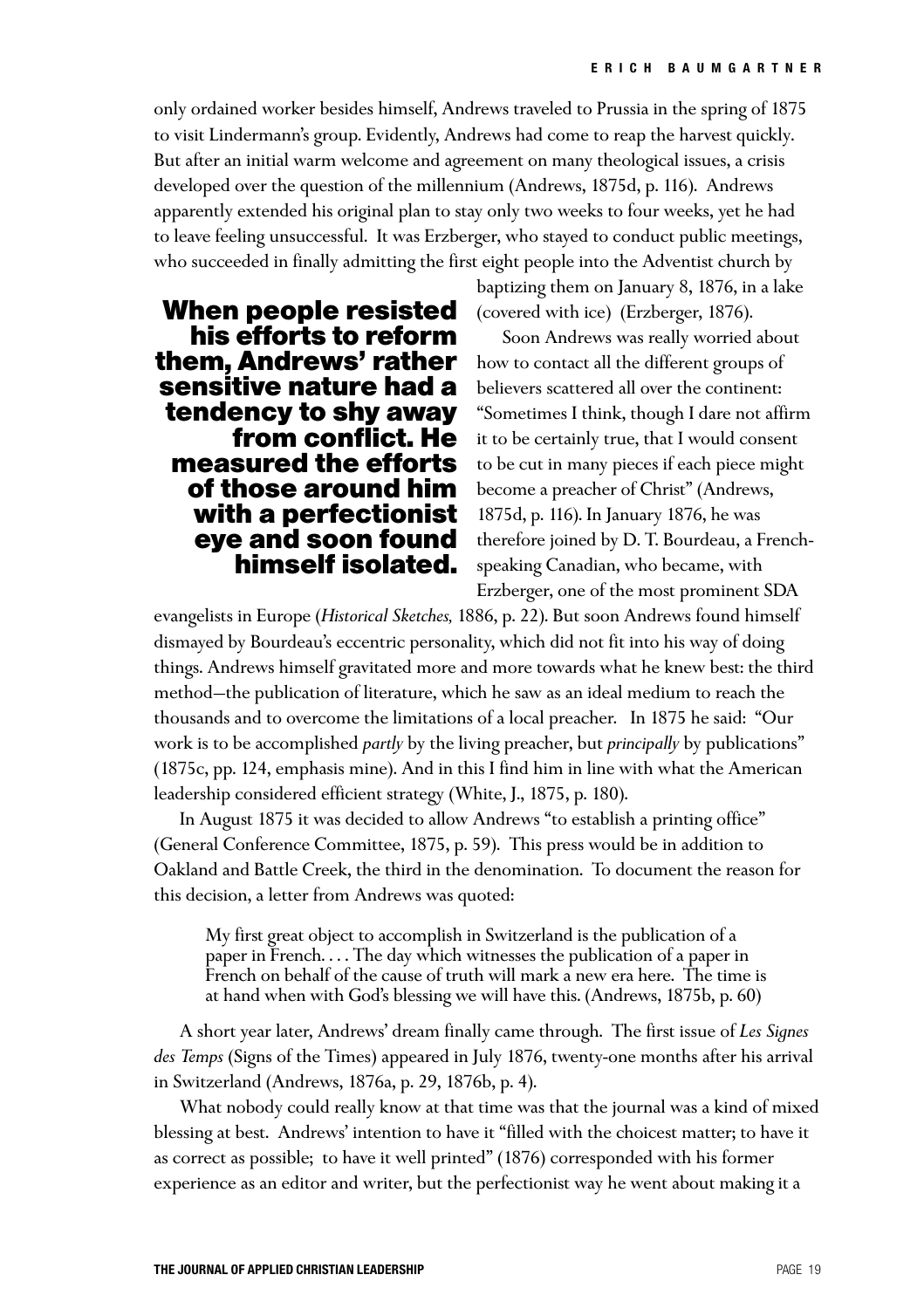only ordained worker besides himself, Andrews traveled to Prussia in the spring of 1875 to visit Lindermann's group. Evidently, Andrews had come to reap the harvest quickly. But after an initial warm welcome and agreement on many theological issues, a crisis developed over the question of the millennium (Andrews, 1875d, p. 116). Andrews apparently extended his original plan to stay only two weeks to four weeks, yet he had to leave feeling unsuccessful. It was Erzberger, who stayed to conduct public meetings, who succeeded in finally admitting the first eight people into the Adventist church by

**When people resisted his efforts to reform them, Andrews' rather sensitive nature had a tendency to shy away from conflict. He measured the efforts of those around him with a perfectionist eye and soon found himself isolated.**

baptizing them on January 8, 1876, in a lake (covered with ice) (Erzberger, 1876).

Soon Andrews was really worried about how to contact all the different groups of believers scattered all over the continent: "Sometimes I think, though I dare not affirm it to be certainly true, that I would consent to be cut in many pieces if each piece might become a preacher of Christ" (Andrews, 1875d, p. 116). In January 1876, he was therefore joined by D. T. Bourdeau, a Frenchspeaking Canadian, who became, with Erzberger, one of the most prominent SDA

evangelists in Europe (*Historical Sketches,* 1886, p. 22). But soon Andrews found himself dismayed by Bourdeau's eccentric personality, which did not fit into his way of doing things. Andrews himself gravitated more and more towards what he knew best: the third method—the publication of literature, which he saw as an ideal medium to reach the thousands and to overcome the limitations of a local preacher. In 1875 he said: "Our work is to be accomplished *partly* by the living preacher, but *principally* by publications" (1875c, pp. 124, emphasis mine). And in this I find him in line with what the American leadership considered efficient strategy (White, J., 1875, p. 180).

In August 1875 it was decided to allow Andrews "to establish a printing office" (General Conference Committee, 1875, p. 59). This press would be in addition to Oakland and Battle Creek, the third in the denomination. To document the reason for this decision, a letter from Andrews was quoted:

My first great object to accomplish in Switzerland is the publication of a paper in French. . . . The day which witnesses the publication of a paper in French on behalf of the cause of truth will mark a new era here. The time is at hand when with God's blessing we will have this. (Andrews, 1875b, p. 60)

A short year later, Andrews' dream finally came through. The first issue of *Les Signes des Temps* (Signs of the Times) appeared in July 1876, twenty-one months after his arrival in Switzerland (Andrews, 1876a, p. 29, 1876b, p. 4).

What nobody could really know at that time was that the journal was a kind of mixed blessing at best. Andrews' intention to have it "filled with the choicest matter; to have it as correct as possible; to have it well printed" (1876) corresponded with his former experience as an editor and writer, but the perfectionist way he went about making it a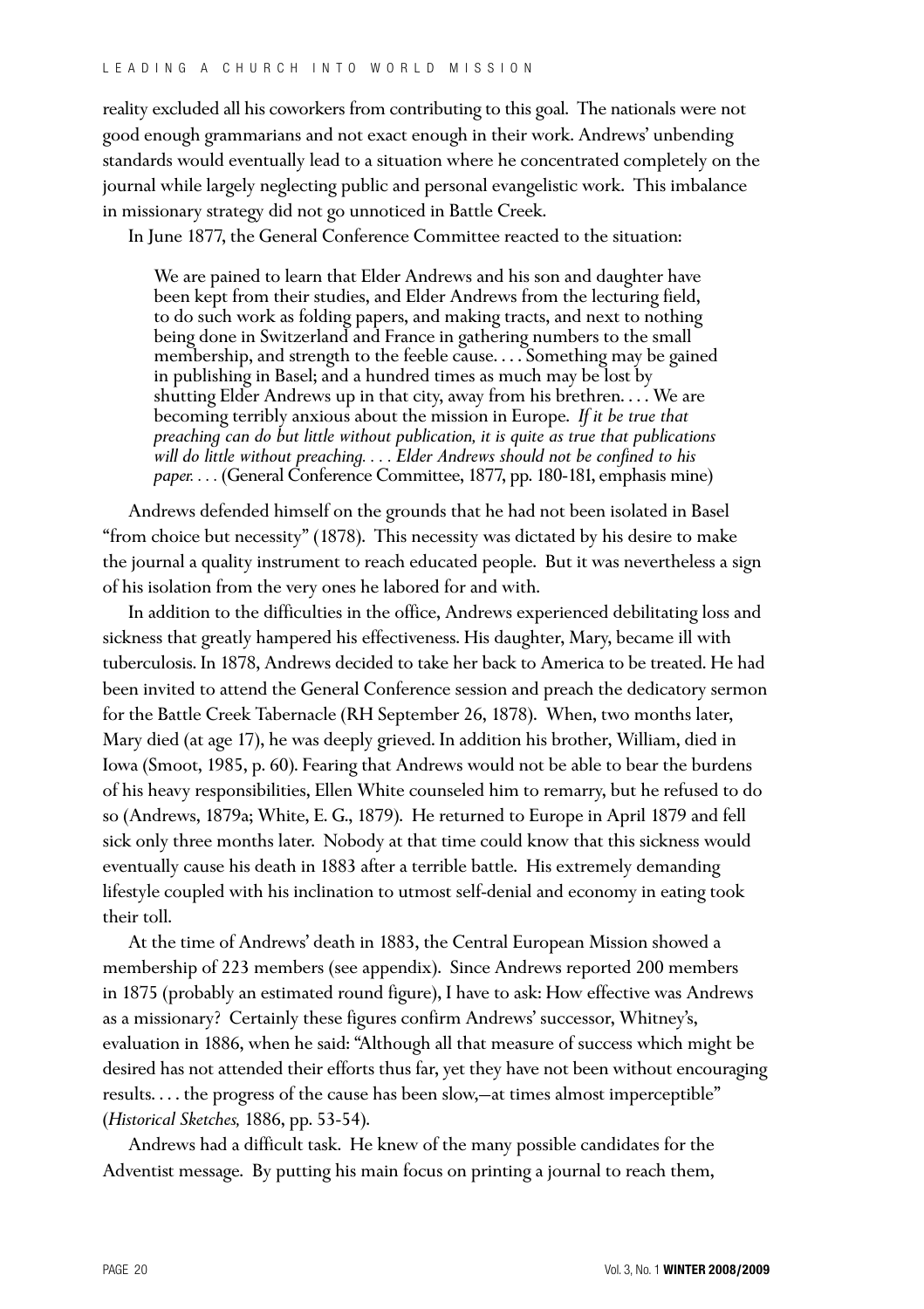reality excluded all his coworkers from contributing to this goal. The nationals were not good enough grammarians and not exact enough in their work. Andrews' unbending standards would eventually lead to a situation where he concentrated completely on the journal while largely neglecting public and personal evangelistic work. This imbalance in missionary strategy did not go unnoticed in Battle Creek.

In June 1877, the General Conference Committee reacted to the situation:

We are pained to learn that Elder Andrews and his son and daughter have been kept from their studies, and Elder Andrews from the lecturing field, to do such work as folding papers, and making tracts, and next to nothing being done in Switzerland and France in gathering numbers to the small membership, and strength to the feeble cause. . . . Something may be gained in publishing in Basel; and a hundred times as much may be lost by shutting Elder Andrews up in that city, away from his brethren. . . . We are becoming terribly anxious about the mission in Europe. *If it be true that preaching can do but little without publication, it is quite as true that publications will do little without preaching. . . . Elder Andrews should not be confined to his paper. . . .* (General Conference Committee, 1877, pp. 180-181, emphasis mine)

Andrews defended himself on the grounds that he had not been isolated in Basel "from choice but necessity" (1878). This necessity was dictated by his desire to make the journal a quality instrument to reach educated people. But it was nevertheless a sign of his isolation from the very ones he labored for and with.

In addition to the difficulties in the office, Andrews experienced debilitating loss and sickness that greatly hampered his effectiveness. His daughter, Mary, became ill with tuberculosis. In 1878, Andrews decided to take her back to America to be treated. He had been invited to attend the General Conference session and preach the dedicatory sermon for the Battle Creek Tabernacle (RH September 26, 1878). When, two months later, Mary died (at age 17), he was deeply grieved. In addition his brother, William, died in Iowa (Smoot, 1985, p. 60). Fearing that Andrews would not be able to bear the burdens of his heavy responsibilities, Ellen White counseled him to remarry, but he refused to do so (Andrews, 1879a; White, E. G., 1879). He returned to Europe in April 1879 and fell sick only three months later. Nobody at that time could know that this sickness would eventually cause his death in 1883 after a terrible battle. His extremely demanding lifestyle coupled with his inclination to utmost self-denial and economy in eating took their toll.

At the time of Andrews' death in 1883, the Central European Mission showed a membership of 223 members (see appendix). Since Andrews reported 200 members in 1875 (probably an estimated round figure), I have to ask: How effective was Andrews as a missionary? Certainly these figures confirm Andrews' successor, Whitney's, evaluation in 1886, when he said: "Although all that measure of success which might be desired has not attended their efforts thus far, yet they have not been without encouraging results. . . . the progress of the cause has been slow,—at times almost imperceptible" (*Historical Sketches,* 1886, pp. 53-54).

Andrews had a difficult task. He knew of the many possible candidates for the Adventist message. By putting his main focus on printing a journal to reach them,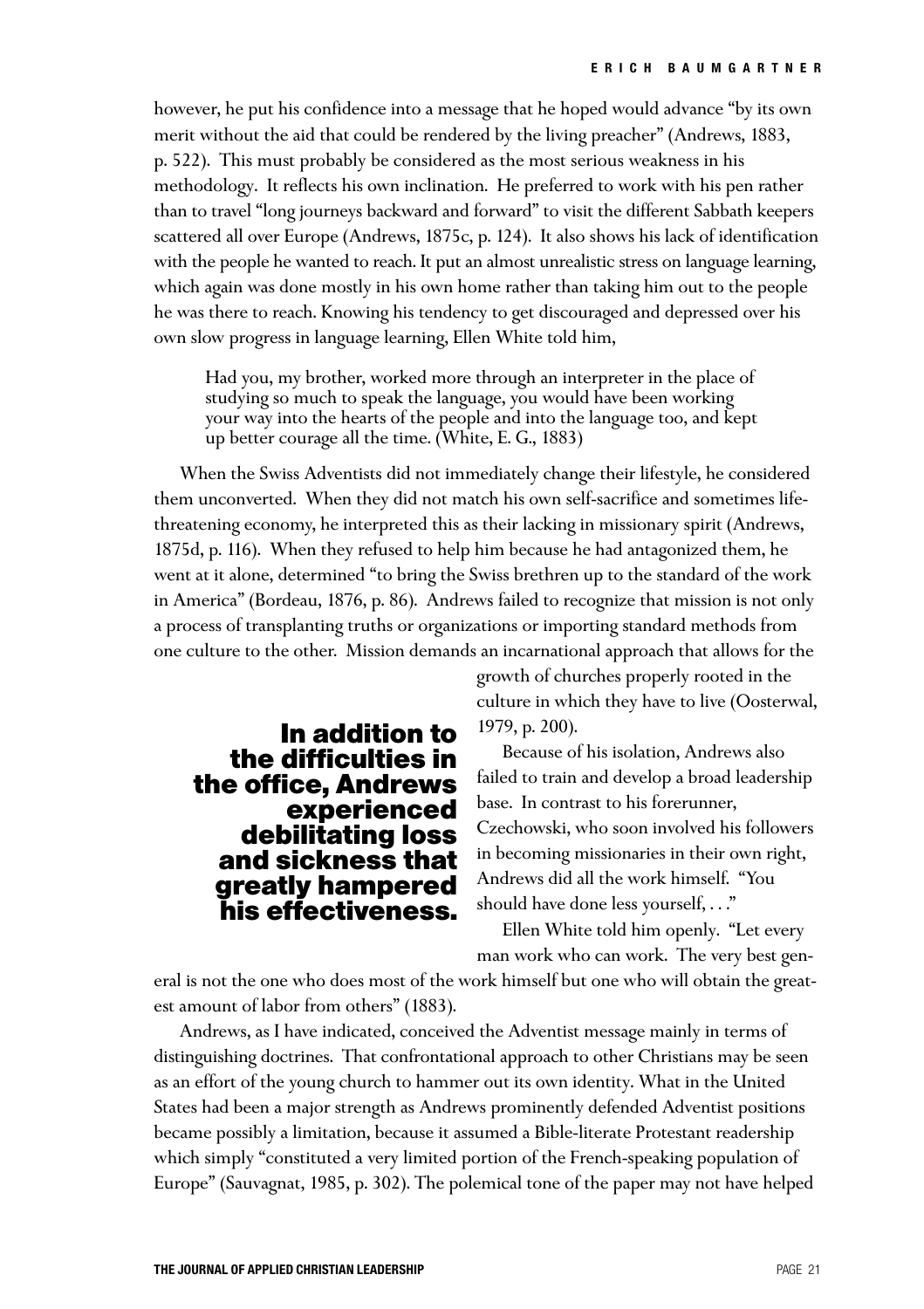however, he put his confidence into a message that he hoped would advance "by its own merit without the aid that could be rendered by the living preacher" (Andrews, 1883, p. 522). This must probably be considered as the most serious weakness in his methodology. It reflects his own inclination. He preferred to work with his pen rather than to travel "long journeys backward and forward" to visit the different Sabbath keepers scattered all over Europe (Andrews, 1875c, p. 124). It also shows his lack of identification with the people he wanted to reach. It put an almost unrealistic stress on language learning, which again was done mostly in his own home rather than taking him out to the people he was there to reach. Knowing his tendency to get discouraged and depressed over his own slow progress in language learning, Ellen White told him,

Had you, my brother, worked more through an interpreter in the place of studying so much to speak the language, you would have been working your way into the hearts of the people and into the language too, and kept up better courage all the time. (White, E. G., 1883)

When the Swiss Adventists did not immediately change their lifestyle, he considered them unconverted. When they did not match his own self-sacrifice and sometimes lifethreatening economy, he interpreted this as their lacking in missionary spirit (Andrews, 1875d, p. 116). When they refused to help him because he had antagonized them, he went at it alone, determined "to bring the Swiss brethren up to the standard of the work in America" (Bordeau, 1876, p. 86). Andrews failed to recognize that mission is not only a process of transplanting truths or organizations or importing standard methods from one culture to the other. Mission demands an incarnational approach that allows for the

> growth of churches properly rooted in the culture in which they have to live (Oosterwal, 1979, p. 200).

### **In addition to the difficulties in the office, Andrews experienced debilitating loss and sickness that greatly hampered his effectiveness.**

Because of his isolation, Andrews also failed to train and develop a broad leadership base. In contrast to his forerunner, Czechowski, who soon involved his followers in becoming missionaries in their own right, Andrews did all the work himself. "You should have done less yourself, . . ."

Ellen White told him openly. "Let every man work who can work. The very best gen-

eral is not the one who does most of the work himself but one who will obtain the greatest amount of labor from others" (1883).

Andrews, as I have indicated, conceived the Adventist message mainly in terms of distinguishing doctrines. That confrontational approach to other Christians may be seen as an effort of the young church to hammer out its own identity. What in the United States had been a major strength as Andrews prominently defended Adventist positions became possibly a limitation, because it assumed a Bible-literate Protestant readership which simply "constituted a very limited portion of the French-speaking population of Europe" (Sauvagnat, 1985, p. 302). The polemical tone of the paper may not have helped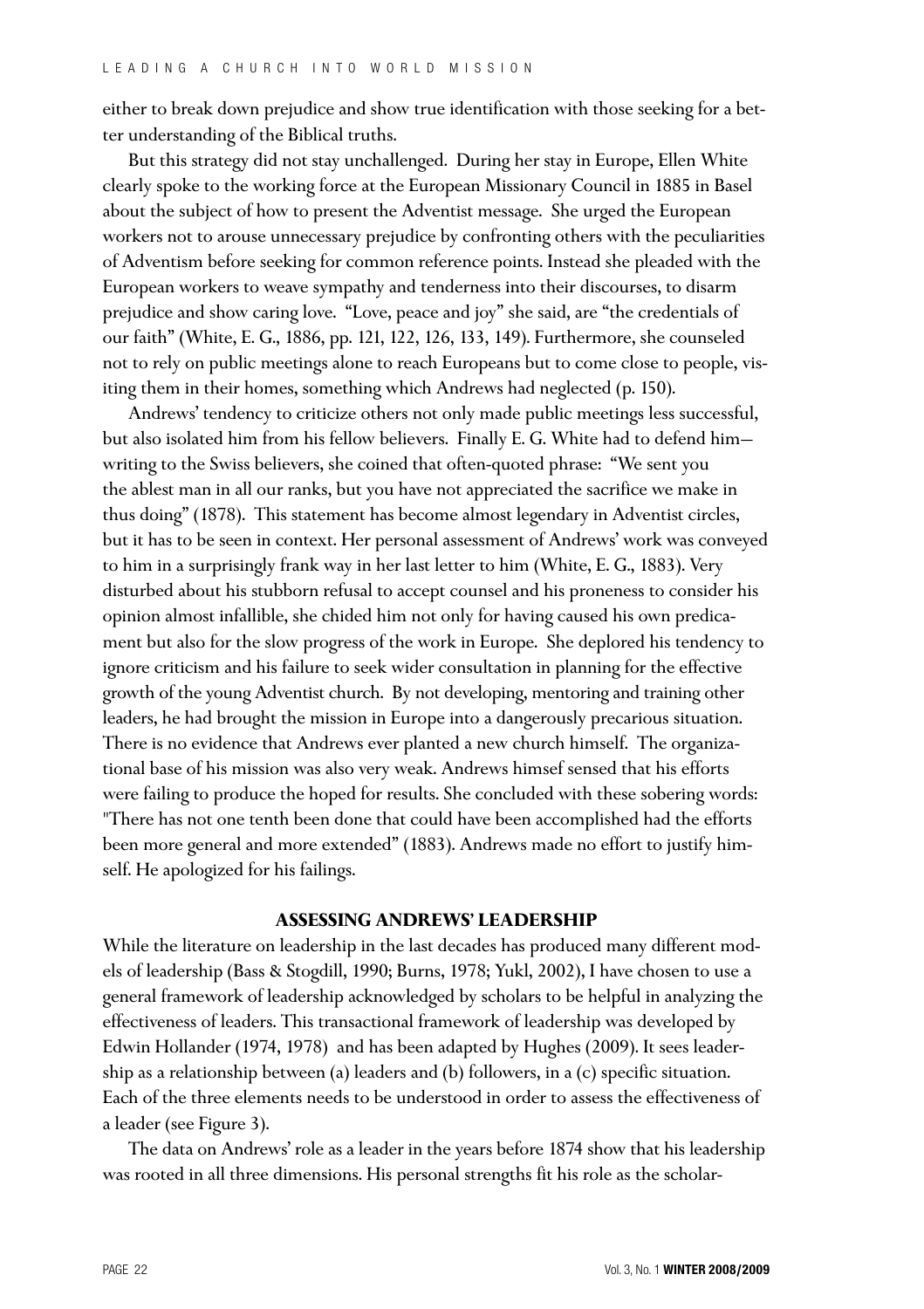either to break down prejudice and show true identification with those seeking for a better understanding of the Biblical truths.

But this strategy did not stay unchallenged. During her stay in Europe, Ellen White clearly spoke to the working force at the European Missionary Council in 1885 in Basel about the subject of how to present the Adventist message. She urged the European workers not to arouse unnecessary prejudice by confronting others with the peculiarities of Adventism before seeking for common reference points. Instead she pleaded with the European workers to weave sympathy and tenderness into their discourses, to disarm prejudice and show caring love. "Love, peace and joy" she said, are "the credentials of our faith" (White, E. G., 1886, pp. 121, 122, 126, 133, 149). Furthermore, she counseled not to rely on public meetings alone to reach Europeans but to come close to people, visiting them in their homes, something which Andrews had neglected (p. 150).

Andrews' tendency to criticize others not only made public meetings less successful, but also isolated him from his fellow believers. Finally E. G. White had to defend him writing to the Swiss believers, she coined that often-quoted phrase: "We sent you the ablest man in all our ranks, but you have not appreciated the sacrifice we make in thus doing" (1878). This statement has become almost legendary in Adventist circles, but it has to be seen in context. Her personal assessment of Andrews' work was conveyed to him in a surprisingly frank way in her last letter to him (White, E. G., 1883). Very disturbed about his stubborn refusal to accept counsel and his proneness to consider his opinion almost infallible, she chided him not only for having caused his own predicament but also for the slow progress of the work in Europe. She deplored his tendency to ignore criticism and his failure to seek wider consultation in planning for the effective growth of the young Adventist church. By not developing, mentoring and training other leaders, he had brought the mission in Europe into a dangerously precarious situation. There is no evidence that Andrews ever planted a new church himself. The organizational base of his mission was also very weak. Andrews himsef sensed that his efforts were failing to produce the hoped for results. She concluded with these sobering words: "There has not one tenth been done that could have been accomplished had the efforts been more general and more extended" (1883). Andrews made no effort to justify himself. He apologized for his failings.

#### **ASSESSING ANDREWS' LEADERSHIP**

While the literature on leadership in the last decades has produced many different models of leadership (Bass & Stogdill, 1990; Burns, 1978; Yukl, 2002), I have chosen to use a general framework of leadership acknowledged by scholars to be helpful in analyzing the effectiveness of leaders. This transactional framework of leadership was developed by Edwin Hollander (1974, 1978) and has been adapted by Hughes (2009). It sees leadership as a relationship between (a) leaders and (b) followers, in a (c) specific situation. Each of the three elements needs to be understood in order to assess the effectiveness of a leader (see Figure 3).

The data on Andrews' role as a leader in the years before 1874 show that his leadership was rooted in all three dimensions. His personal strengths fit his role as the scholar-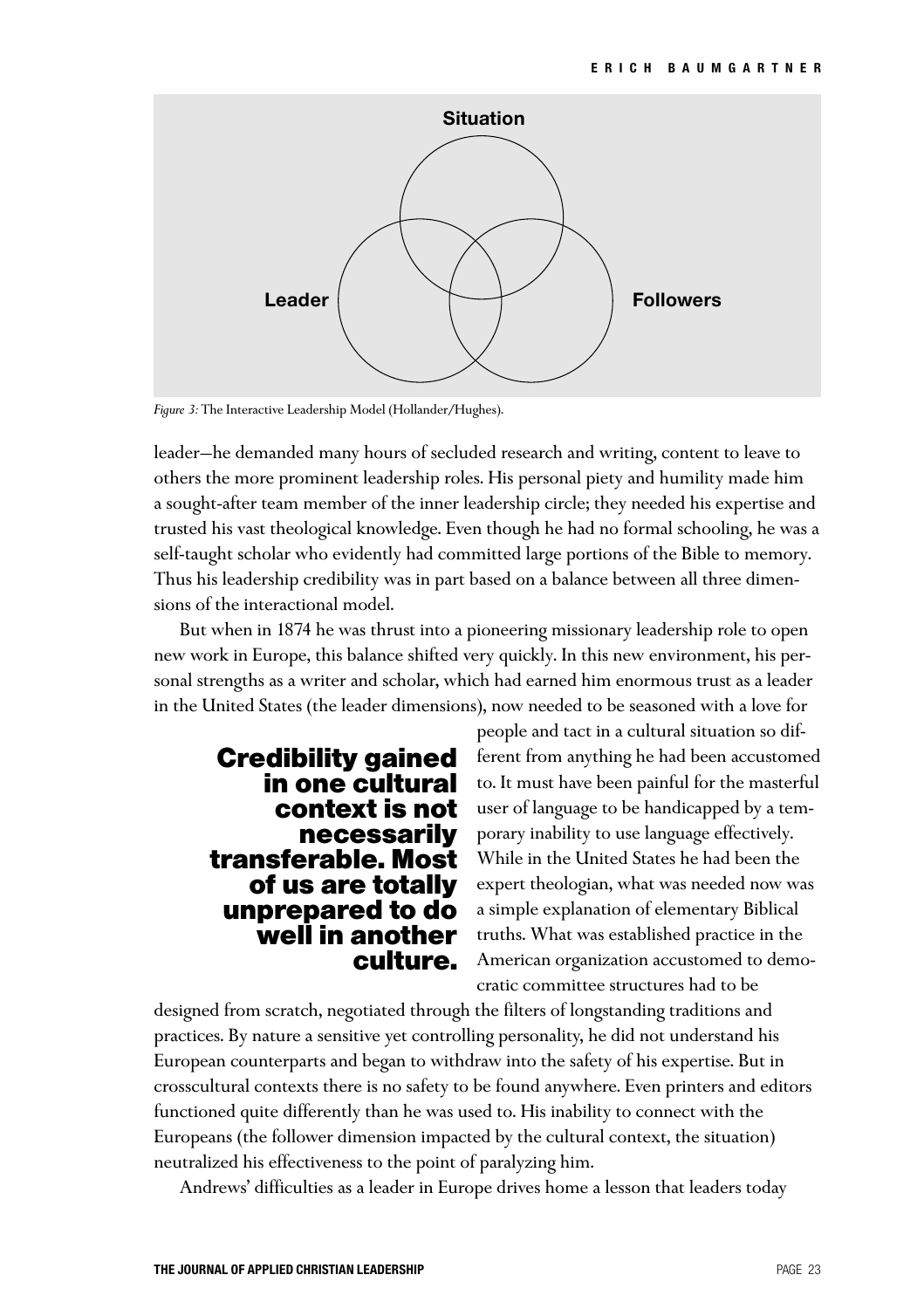

*Figure 3:* The Interactive Leadership Model (Hollander/Hughes).

leader—he demanded many hours of secluded research and writing, content to leave to others the more prominent leadership roles. His personal piety and humility made him a sought-after team member of the inner leadership circle; they needed his expertise and trusted his vast theological knowledge. Even though he had no formal schooling, he was a self-taught scholar who evidently had committed large portions of the Bible to memory. Thus his leadership credibility was in part based on a balance between all three dimensions of the interactional model.

But when in 1874 he was thrust into a pioneering missionary leadership role to open new work in Europe, this balance shifted very quickly. In this new environment, his personal strengths as a writer and scholar, which had earned him enormous trust as a leader in the United States (the leader dimensions), now needed to be seasoned with a love for

## **Credibility gained in one cultural context is not transferable. Most of us are totally unprepared to do well in another culture.**

people and tact in a cultural situation so different from anything he had been accustomed to. It must have been painful for the masterful user of language to be handicapped by a temporary inability to use language effectively. **necessarily**  While in the United States he had been the expert theologian, what was needed now was a simple explanation of elementary Biblical truths. What was established practice in the American organization accustomed to democratic committee structures had to be

designed from scratch, negotiated through the filters of longstanding traditions and practices. By nature a sensitive yet controlling personality, he did not understand his European counterparts and began to withdraw into the safety of his expertise. But in crosscultural contexts there is no safety to be found anywhere. Even printers and editors functioned quite differently than he was used to. His inability to connect with the Europeans (the follower dimension impacted by the cultural context, the situation) neutralized his effectiveness to the point of paralyzing him.

Andrews' difficulties as a leader in Europe drives home a lesson that leaders today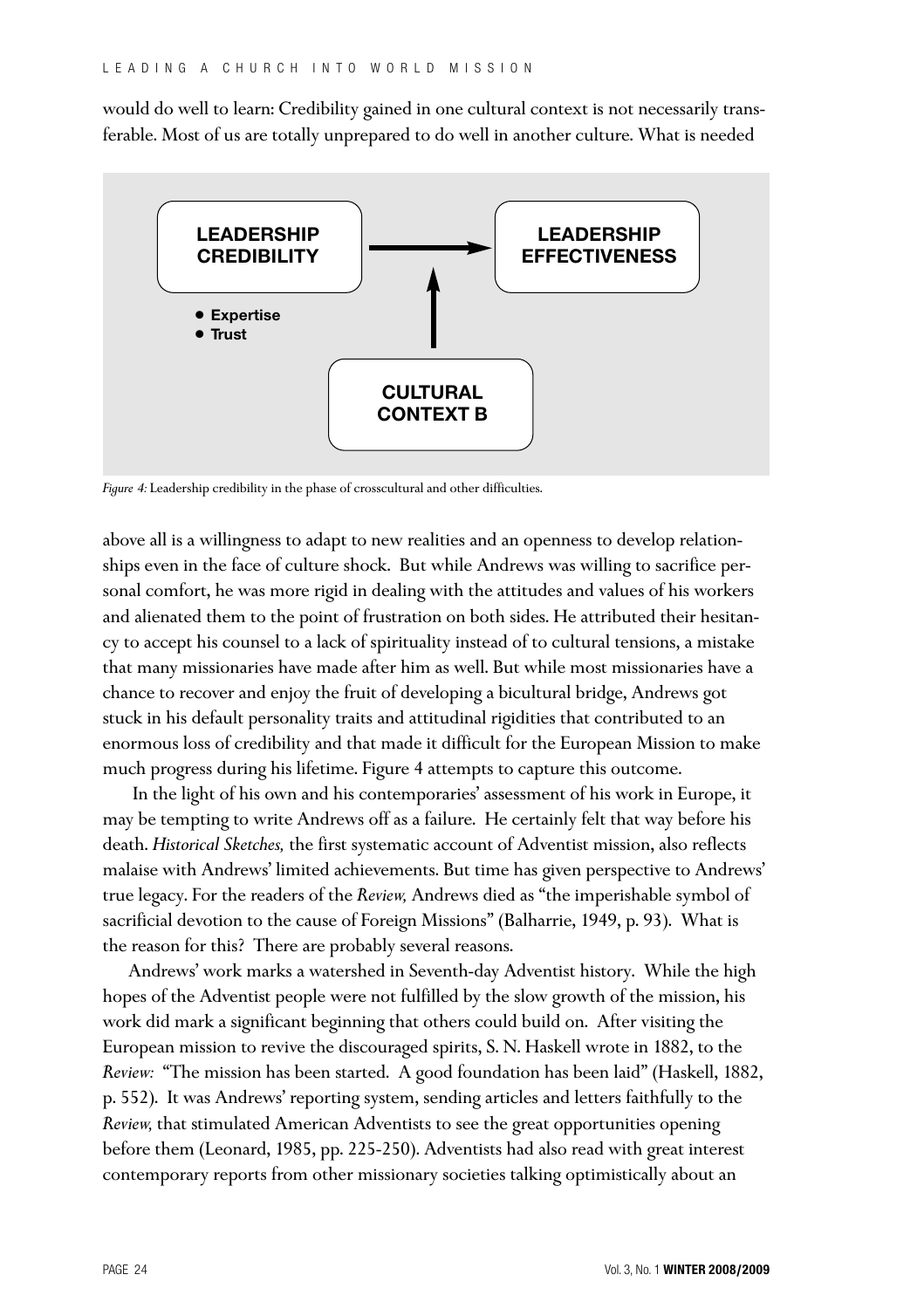would do well to learn: Credibility gained in one cultural context is not necessarily transferable. Most of us are totally unprepared to do well in another culture. What is needed



*Figure 4:* Leadership credibility in the phase of crosscultural and other difficulties.

above all is a willingness to adapt to new realities and an openness to develop relationships even in the face of culture shock. But while Andrews was willing to sacrifice personal comfort, he was more rigid in dealing with the attitudes and values of his workers and alienated them to the point of frustration on both sides. He attributed their hesitancy to accept his counsel to a lack of spirituality instead of to cultural tensions, a mistake that many missionaries have made after him as well. But while most missionaries have a chance to recover and enjoy the fruit of developing a bicultural bridge, Andrews got stuck in his default personality traits and attitudinal rigidities that contributed to an enormous loss of credibility and that made it difficult for the European Mission to make much progress during his lifetime. Figure 4 attempts to capture this outcome.

In the light of his own and his contemporaries' assessment of his work in Europe, it may be tempting to write Andrews off as a failure. He certainly felt that way before his death. *Historical Sketches,* the first systematic account of Adventist mission, also reflects malaise with Andrews' limited achievements. But time has given perspective to Andrews' true legacy. For the readers of the *Review,* Andrews died as "the imperishable symbol of sacrificial devotion to the cause of Foreign Missions" (Balharrie, 1949, p. 93). What is the reason for this? There are probably several reasons.

Andrews' work marks a watershed in Seventh-day Adventist history. While the high hopes of the Adventist people were not fulfilled by the slow growth of the mission, his work did mark a significant beginning that others could build on. After visiting the European mission to revive the discouraged spirits, S. N. Haskell wrote in 1882, to the *Review:* "The mission has been started. A good foundation has been laid" (Haskell, 1882, p. 552). It was Andrews' reporting system, sending articles and letters faithfully to the *Review,* that stimulated American Adventists to see the great opportunities opening before them (Leonard, 1985, pp. 225-250). Adventists had also read with great interest contemporary reports from other missionary societies talking optimistically about an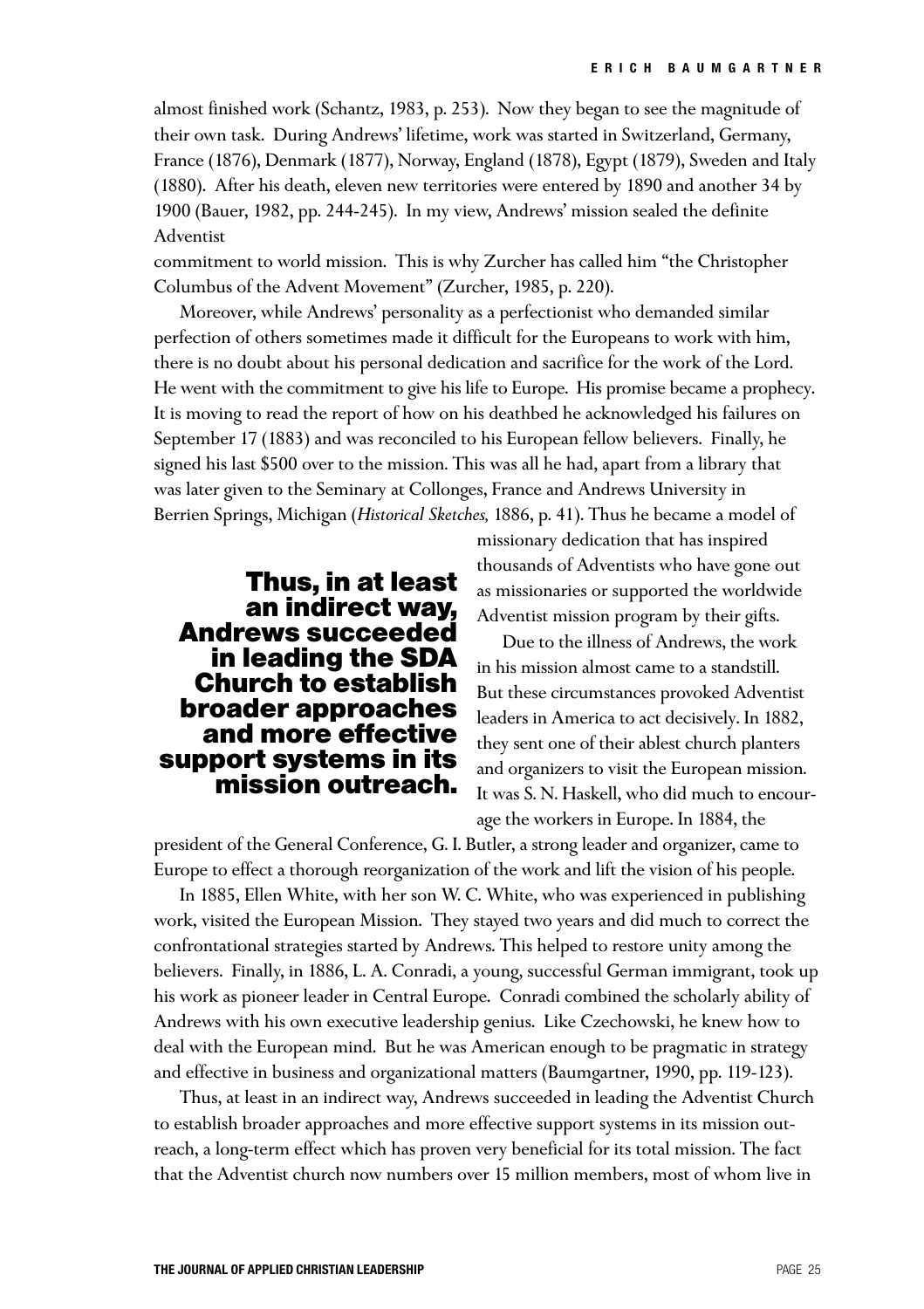almost finished work (Schantz, 1983, p. 253). Now they began to see the magnitude of their own task. During Andrews' lifetime, work was started in Switzerland, Germany, France (1876), Denmark (1877), Norway, England (1878), Egypt (1879), Sweden and Italy (1880). After his death, eleven new territories were entered by 1890 and another 34 by 1900 (Bauer, 1982, pp. 244-245). In my view, Andrews' mission sealed the definite Adventist

commitment to world mission. This is why Zurcher has called him "the Christopher Columbus of the Advent Movement" (Zurcher, 1985, p. 220).

Moreover, while Andrews' personality as a perfectionist who demanded similar perfection of others sometimes made it difficult for the Europeans to work with him, there is no doubt about his personal dedication and sacrifice for the work of the Lord. He went with the commitment to give his life to Europe. His promise became a prophecy. It is moving to read the report of how on his deathbed he acknowledged his failures on September 17 (1883) and was reconciled to his European fellow believers. Finally, he signed his last \$500 over to the mission. This was all he had, apart from a library that was later given to the Seminary at Collonges, France and Andrews University in Berrien Springs, Michigan (*Historical Sketches,* 1886, p. 41). Thus he became a model of

### **Thus, in at least an indirect way, Andrews succeeded in leading the SDA Church to establish broader approaches and more effective support systems in its mission outreach.**

missionary dedication that has inspired thousands of Adventists who have gone out as missionaries or supported the worldwide Adventist mission program by their gifts.

Due to the illness of Andrews, the work in his mission almost came to a standstill. But these circumstances provoked Adventist leaders in America to act decisively. In 1882, they sent one of their ablest church planters and organizers to visit the European mission. It was S. N. Haskell, who did much to encourage the workers in Europe. In 1884, the

president of the General Conference, G. I. Butler, a strong leader and organizer, came to Europe to effect a thorough reorganization of the work and lift the vision of his people.

In 1885, Ellen White, with her son W. C. White, who was experienced in publishing work, visited the European Mission. They stayed two years and did much to correct the confrontational strategies started by Andrews. This helped to restore unity among the believers. Finally, in 1886, L. A. Conradi, a young, successful German immigrant, took up his work as pioneer leader in Central Europe. Conradi combined the scholarly ability of Andrews with his own executive leadership genius. Like Czechowski, he knew how to deal with the European mind. But he was American enough to be pragmatic in strategy and effective in business and organizational matters (Baumgartner, 1990, pp. 119-123).

Thus, at least in an indirect way, Andrews succeeded in leading the Adventist Church to establish broader approaches and more effective support systems in its mission outreach, a long-term effect which has proven very beneficial for its total mission. The fact that the Adventist church now numbers over 15 million members, most of whom live in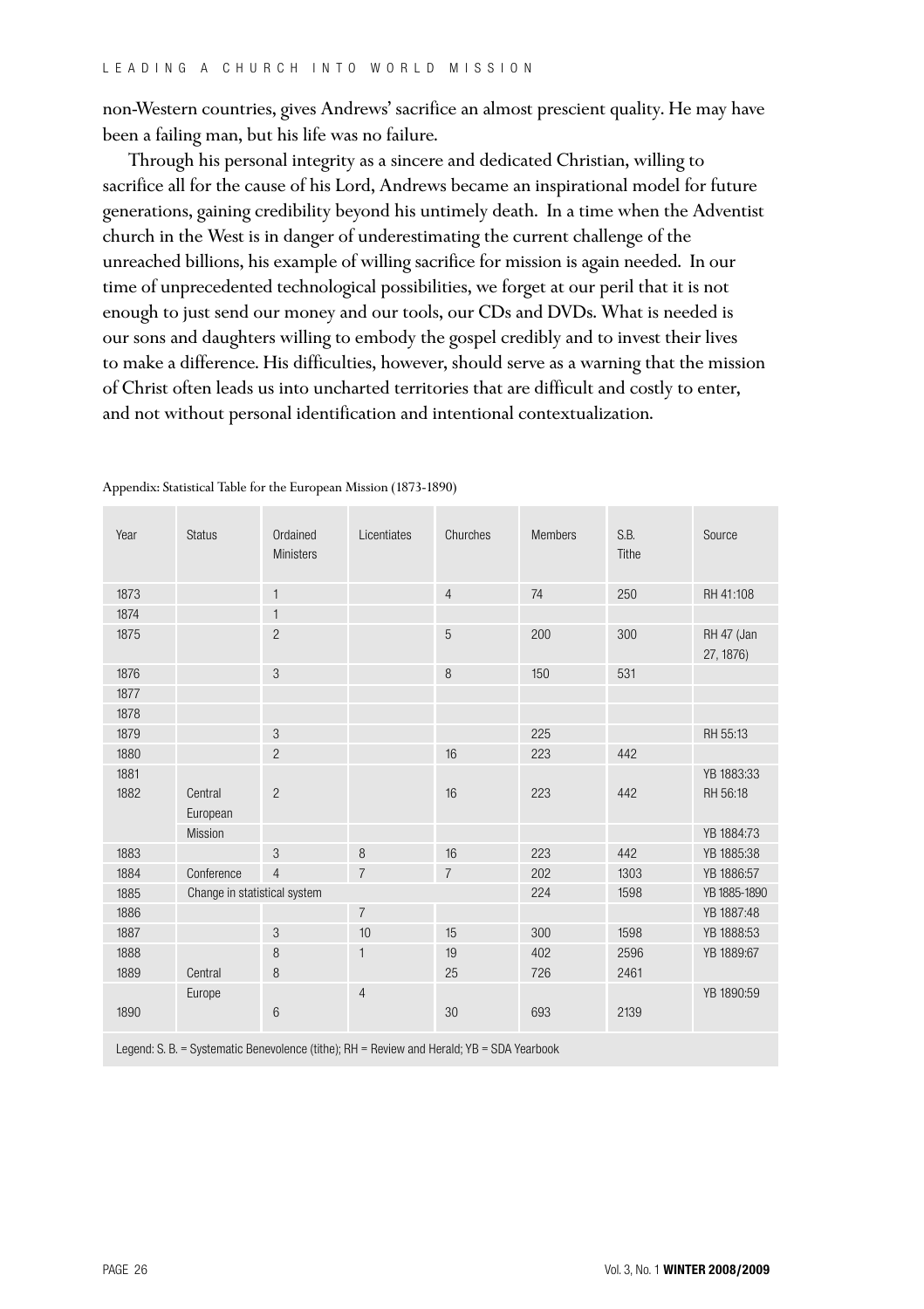non-Western countries, gives Andrews' sacrifice an almost prescient quality. He may have been a failing man, but his life was no failure.

Through his personal integrity as a sincere and dedicated Christian, willing to sacrifice all for the cause of his Lord, Andrews became an inspirational model for future generations, gaining credibility beyond his untimely death. In a time when the Adventist church in the West is in danger of underestimating the current challenge of the unreached billions, his example of willing sacrifice for mission is again needed. In our time of unprecedented technological possibilities, we forget at our peril that it is not enough to just send our money and our tools, our CDs and DVDs. What is needed is our sons and daughters willing to embody the gospel credibly and to invest their lives to make a difference. His difficulties, however, should serve as a warning that the mission of Christ often leads us into uncharted territories that are difficult and costly to enter, and not without personal identification and intentional contextualization.

| Year                                                                                    | <b>Status</b>                | Ordained<br>Ministers | Licentiates    | Churches       | <b>Members</b> | S.B.<br>Tithe | Source                  |
|-----------------------------------------------------------------------------------------|------------------------------|-----------------------|----------------|----------------|----------------|---------------|-------------------------|
| 1873                                                                                    |                              | $\mathbf{1}$          |                | $\overline{4}$ | 74             | 250           | RH 41:108               |
| 1874                                                                                    |                              | $\mathbf{1}$          |                |                |                |               |                         |
| 1875                                                                                    |                              | $\overline{c}$        |                | 5              | 200            | 300           | RH 47 (Jan<br>27, 1876) |
| 1876                                                                                    |                              | $\mathfrak{S}$        |                | 8              | 150            | 531           |                         |
| 1877                                                                                    |                              |                       |                |                |                |               |                         |
| 1878                                                                                    |                              |                       |                |                |                |               |                         |
| 1879                                                                                    |                              | 3                     |                |                | 225            |               | RH 55:13                |
| 1880                                                                                    |                              | $\overline{c}$        |                | 16             | 223            | 442           |                         |
| 1881<br>1882                                                                            | Central<br>European          | $\overline{2}$        |                | 16             | 223            | 442           | YB 1883:33<br>RH 56:18  |
|                                                                                         | Mission                      |                       |                |                |                |               | YB 1884:73              |
| 1883                                                                                    |                              | 3                     | 8              | 16             | 223            | 442           | YB 1885:38              |
| 1884                                                                                    | Conference                   | $\overline{4}$        | $\overline{7}$ | $\overline{7}$ | 202            | 1303          | YB 1886:57              |
| 1885                                                                                    | Change in statistical system |                       |                |                | 224            | 1598          | YB 1885-1890            |
| 1886                                                                                    |                              |                       | $\overline{7}$ |                |                |               | YB 1887:48              |
| 1887                                                                                    |                              | 3                     | 10             | 15             | 300            | 1598          | YB 1888:53              |
| 1888                                                                                    |                              | 8                     | 1              | 19             | 402            | 2596          | YB 1889:67              |
| 1889                                                                                    | Central                      | 8                     |                | 25             | 726            | 2461          |                         |
| 1890                                                                                    | Europe                       | $6\phantom{1}$        | $\overline{4}$ | 30             | 693            | 2139          | YB 1890:59              |
| Longel, C.D., Custometic Department (Hiller), DU, Deviaus and Havelet VD, CDA Venubrate |                              |                       |                |                |                |               |                         |

Appendix: Statistical Table for the European Mission (1873-1890)

Legend: S. B. = Systematic Benevolence (tithe); RH = Review and Herald; YB = SDA Yearbook